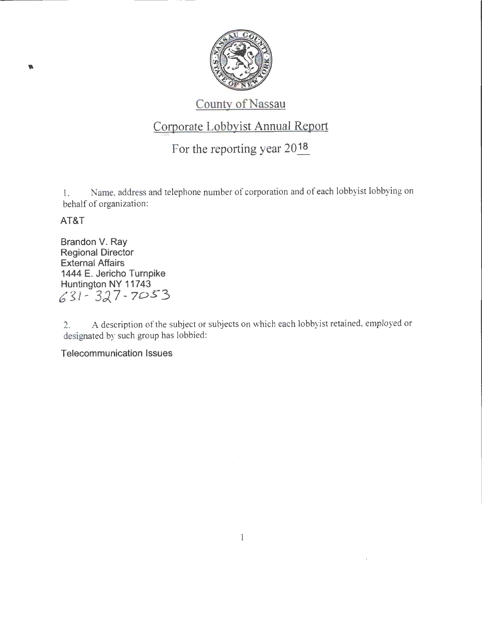

## County of Nassau

## Corporate Lobbyist Annual Report

## For the reporting year 2018

1. Name, address and telephone number of corporation and of each lobbyist lobbying on behalf of organization:

## AT&T

Brandon V. Ray Regional Director External Affairs 1444 E. Jericho Turnpike Huntington NY 11743 *b* g J- *3:)* 7- 70.5"3

2. A description of the subject or subjects on which each lobbyist retained, employed or designated by such group has lobbied:

Telecommunication Issues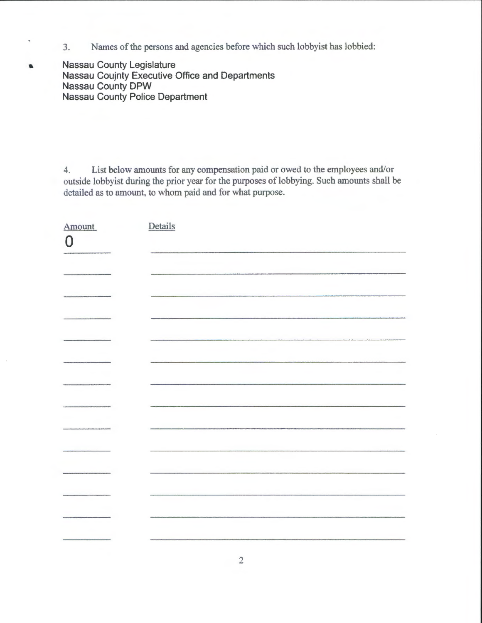3. Names of the persons and agencies before which such lobbyist has lobbied:

**Nassau County Legislature Nassau Coujnty Executive Office and Departments Nassau County DPW Nassau County Police Department** 

×,

 $\blacksquare$ 

4. List below amounts for any compensation paid or owed to the employees and/or outside lobbyist during the prior year for the purposes of lobbying. Such amounts shall be detailed as to amount, to whom paid and for what purpose.

| Amount<br>$\overline{0}$              | Details |
|---------------------------------------|---------|
|                                       |         |
|                                       |         |
|                                       |         |
|                                       |         |
|                                       |         |
|                                       |         |
|                                       |         |
| <b>Contract Construction Contract</b> |         |
|                                       |         |
| <b><i><u>PHOTOSHIPPING</u></i></b>    |         |
|                                       |         |
|                                       |         |
|                                       |         |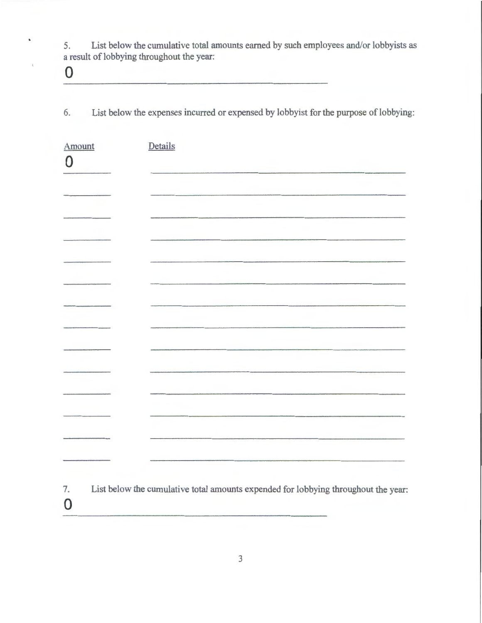5. List below the cumulative total amounts earned by such employees and/or lobbyists as a result of lobbying throughout the year:

0

0

6. List below the expenses incurred or expensed by lobbyist for the purpose of lobbying:

| Amount | Details                                                                            |
|--------|------------------------------------------------------------------------------------|
| 0      |                                                                                    |
|        |                                                                                    |
|        |                                                                                    |
|        |                                                                                    |
|        |                                                                                    |
|        |                                                                                    |
|        |                                                                                    |
|        |                                                                                    |
|        |                                                                                    |
|        |                                                                                    |
|        |                                                                                    |
|        |                                                                                    |
|        |                                                                                    |
|        |                                                                                    |
|        |                                                                                    |
| 7.     | List below the cumulative total amounts expended for lobbying throughout the year: |